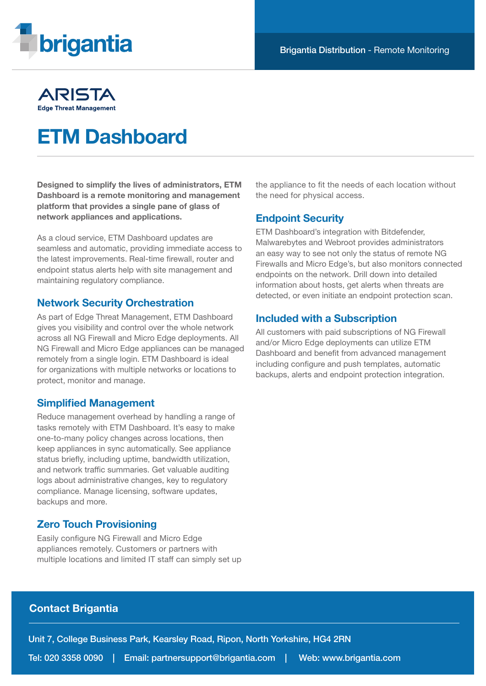

## ARISTA **Edge Threat Management**

# ETM Dashboard

Designed to simplify the lives of administrators, ETM Dashboard is a remote monitoring and management platform that provides a single pane of glass of network appliances and applications.

As a cloud service, ETM Dashboard updates are seamless and automatic, providing immediate access to the latest improvements. Real-time firewall, router and endpoint status alerts help with site management and maintaining regulatory compliance.

#### Network Security Orchestration

As part of Edge Threat Management, ETM Dashboard gives you visibility and control over the whole network across all NG Firewall and Micro Edge deployments. All NG Firewall and Micro Edge appliances can be managed remotely from a single login. ETM Dashboard is ideal for organizations with multiple networks or locations to protect, monitor and manage.

### Simplified Management

Reduce management overhead by handling a range of tasks remotely with ETM Dashboard. It's easy to make one-to-many policy changes across locations, then keep appliances in sync automatically. See appliance status briefly, including uptime, bandwidth utilization, and network traffic summaries. Get valuable auditing logs about administrative changes, key to regulatory compliance. Manage licensing, software updates, backups and more.

## Zero Touch Provisioning

Easily configure NG Firewall and Micro Edge appliances remotely. Customers or partners with multiple locations and limited IT staff can simply set up the appliance to fit the needs of each location without the need for physical access.

#### Endpoint Security

ETM Dashboard's integration with Bitdefender, Malwarebytes and Webroot provides administrators an easy way to see not only the status of remote NG Firewalls and Micro Edge's, but also monitors connected endpoints on the network. Drill down into detailed information about hosts, get alerts when threats are detected, or even initiate an endpoint protection scan.

#### Included with a Subscription

All customers with paid subscriptions of NG Firewall and/or Micro Edge deployments can utilize ETM Dashboard and benefit from advanced management including configure and push templates, automatic backups, alerts and endpoint protection integration.

### Contact Brigantia

Unit 7, College Business Park, Kearsley Road, Ripon, North Yorkshire, HG4 2RN